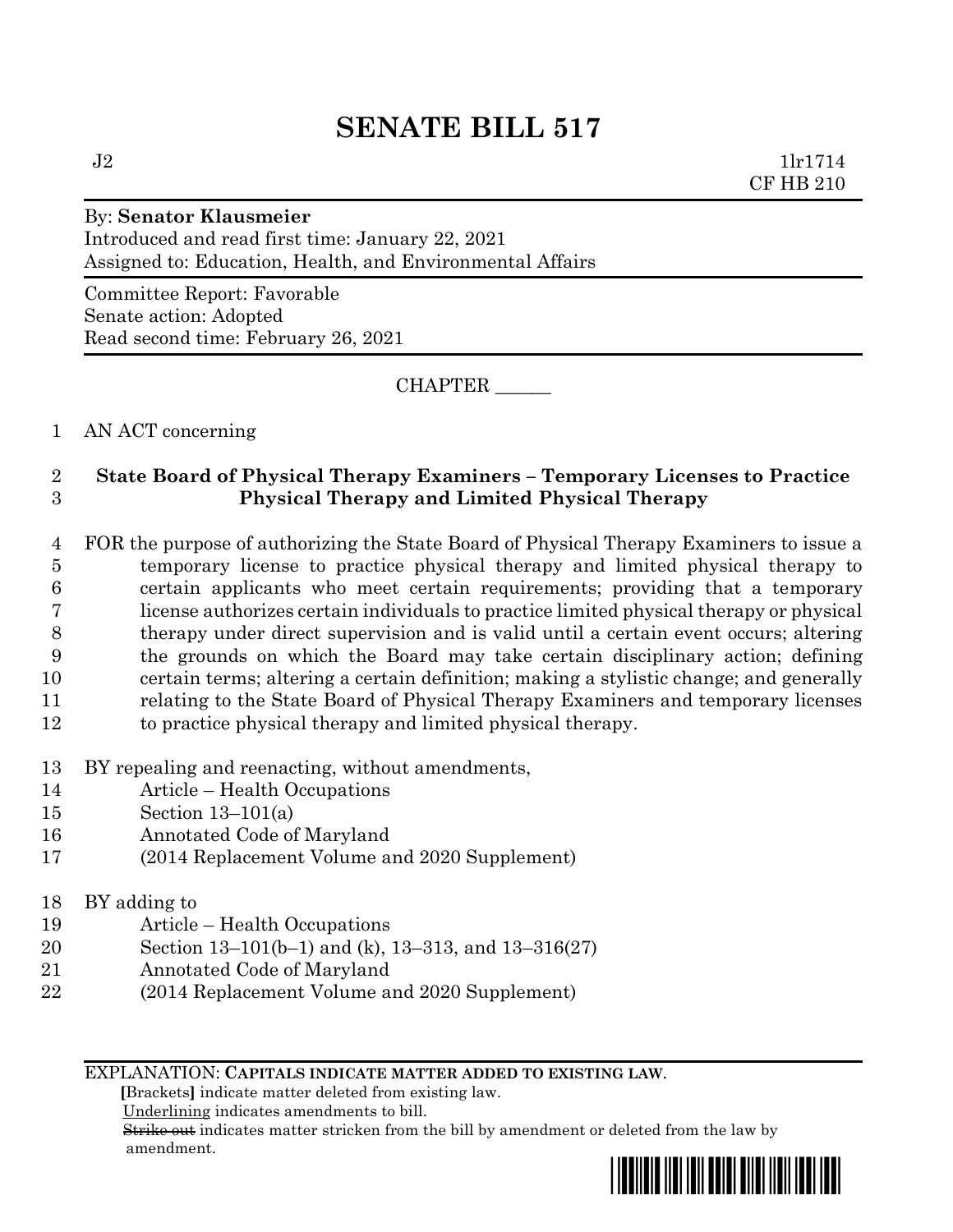# **SENATE BILL 517**

 $J2 \t1\text{lr}1714$ CF HB 210

# By: **Senator Klausmeier**

Introduced and read first time: January 22, 2021 Assigned to: Education, Health, and Environmental Affairs

Committee Report: Favorable Senate action: Adopted Read second time: February 26, 2021

CHAPTER \_\_\_\_\_\_

# 1 AN ACT concerning

# 2 **State Board of Physical Therapy Examiners – Temporary Licenses to Practice**  3 **Physical Therapy and Limited Physical Therapy**

- 4 FOR the purpose of authorizing the State Board of Physical Therapy Examiners to issue a 5 temporary license to practice physical therapy and limited physical therapy to 6 certain applicants who meet certain requirements; providing that a temporary 7 license authorizes certain individuals to practice limited physical therapy or physical 8 therapy under direct supervision and is valid until a certain event occurs; altering 9 the grounds on which the Board may take certain disciplinary action; defining 10 certain terms; altering a certain definition; making a stylistic change; and generally 11 relating to the State Board of Physical Therapy Examiners and temporary licenses 12 to practice physical therapy and limited physical therapy.
- 13 BY repealing and reenacting, without amendments,
- 14 Article Health Occupations
- 15 Section 13–101(a)
- 16 Annotated Code of Maryland
- 17 (2014 Replacement Volume and 2020 Supplement)
- 18 BY adding to
- 19 Article Health Occupations
- 20 Section 13–101(b–1) and (k), 13–313, and 13–316(27)
- 21 Annotated Code of Maryland
- 22 (2014 Replacement Volume and 2020 Supplement)

## EXPLANATION: **CAPITALS INDICATE MATTER ADDED TO EXISTING LAW**.

 **[**Brackets**]** indicate matter deleted from existing law.

Underlining indicates amendments to bill.

 Strike out indicates matter stricken from the bill by amendment or deleted from the law by amendment.

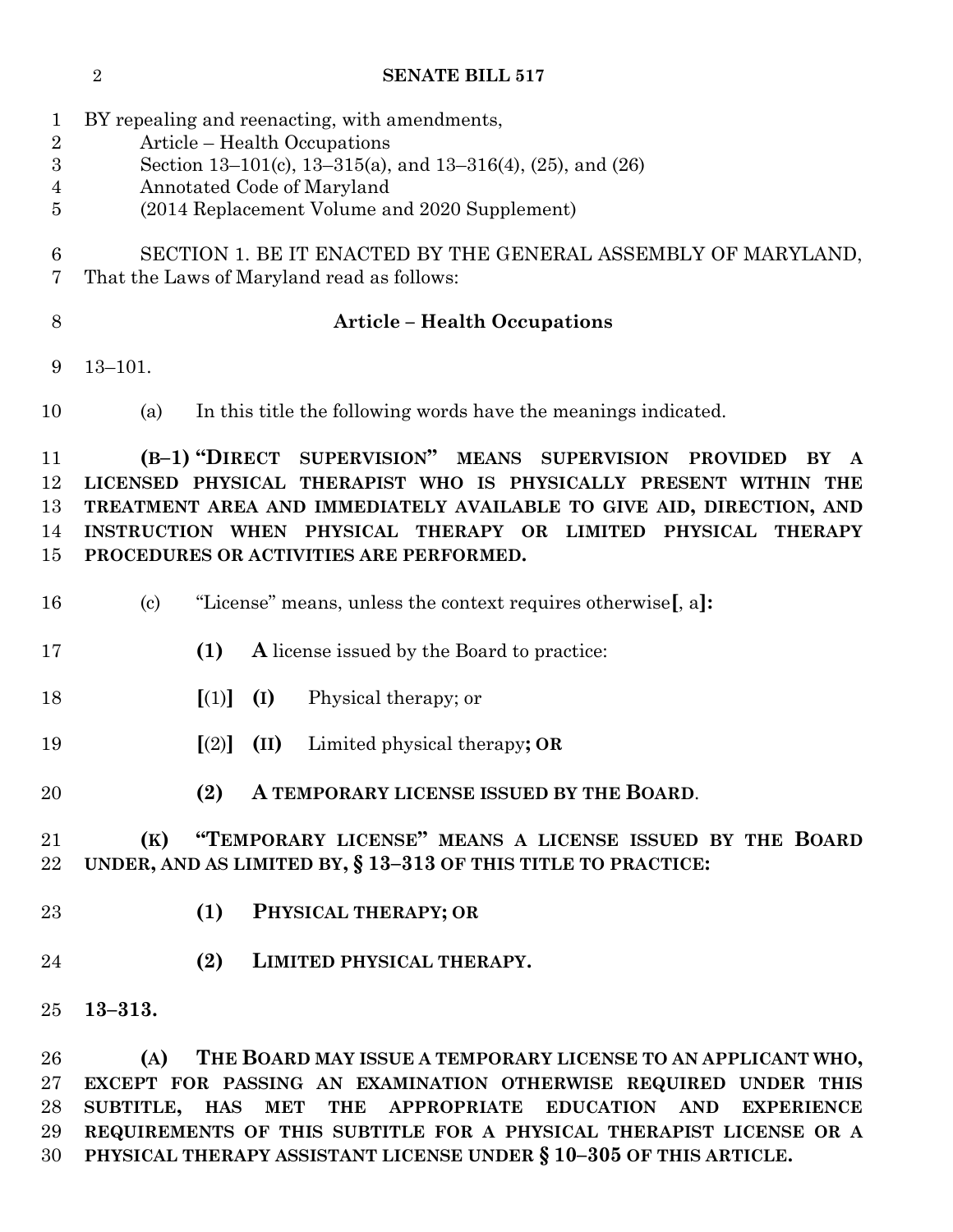**SENATE BILL 517** BY repealing and reenacting, with amendments, Article – Health Occupations Section 13–101(c), 13–315(a), and 13–316(4), (25), and (26) Annotated Code of Maryland (2014 Replacement Volume and 2020 Supplement) SECTION 1. BE IT ENACTED BY THE GENERAL ASSEMBLY OF MARYLAND, That the Laws of Maryland read as follows: **Article – Health Occupations** 13–101. (a) In this title the following words have the meanings indicated. **(B–1) "DIRECT SUPERVISION" MEANS SUPERVISION PROVIDED BY A LICENSED PHYSICAL THERAPIST WHO IS PHYSICALLY PRESENT WITHIN THE TREATMENT AREA AND IMMEDIATELY AVAILABLE TO GIVE AID, DIRECTION, AND INSTRUCTION WHEN PHYSICAL THERAPY OR LIMITED PHYSICAL THERAPY PROCEDURES OR ACTIVITIES ARE PERFORMED.** (c) "License" means, unless the context requires otherwise**[**, a**]: (1) A** license issued by the Board to practice: **[**(1)**] (I)** Physical therapy; or **[**(2)**] (II)** Limited physical therapy**; OR (2) A TEMPORARY LICENSE ISSUED BY THE BOARD**. **(K) "TEMPORARY LICENSE" MEANS A LICENSE ISSUED BY THE BOARD UNDER, AND AS LIMITED BY, § 13–313 OF THIS TITLE TO PRACTICE: (1) PHYSICAL THERAPY; OR (2) LIMITED PHYSICAL THERAPY. 13–313. (A) THE BOARD MAY ISSUE A TEMPORARY LICENSE TO AN APPLICANT WHO, EXCEPT FOR PASSING AN EXAMINATION OTHERWISE REQUIRED UNDER THIS** 

 **SUBTITLE, HAS MET THE APPROPRIATE EDUCATION AND EXPERIENCE REQUIREMENTS OF THIS SUBTITLE FOR A PHYSICAL THERAPIST LICENSE OR A PHYSICAL THERAPY ASSISTANT LICENSE UNDER § 10–305 OF THIS ARTICLE.**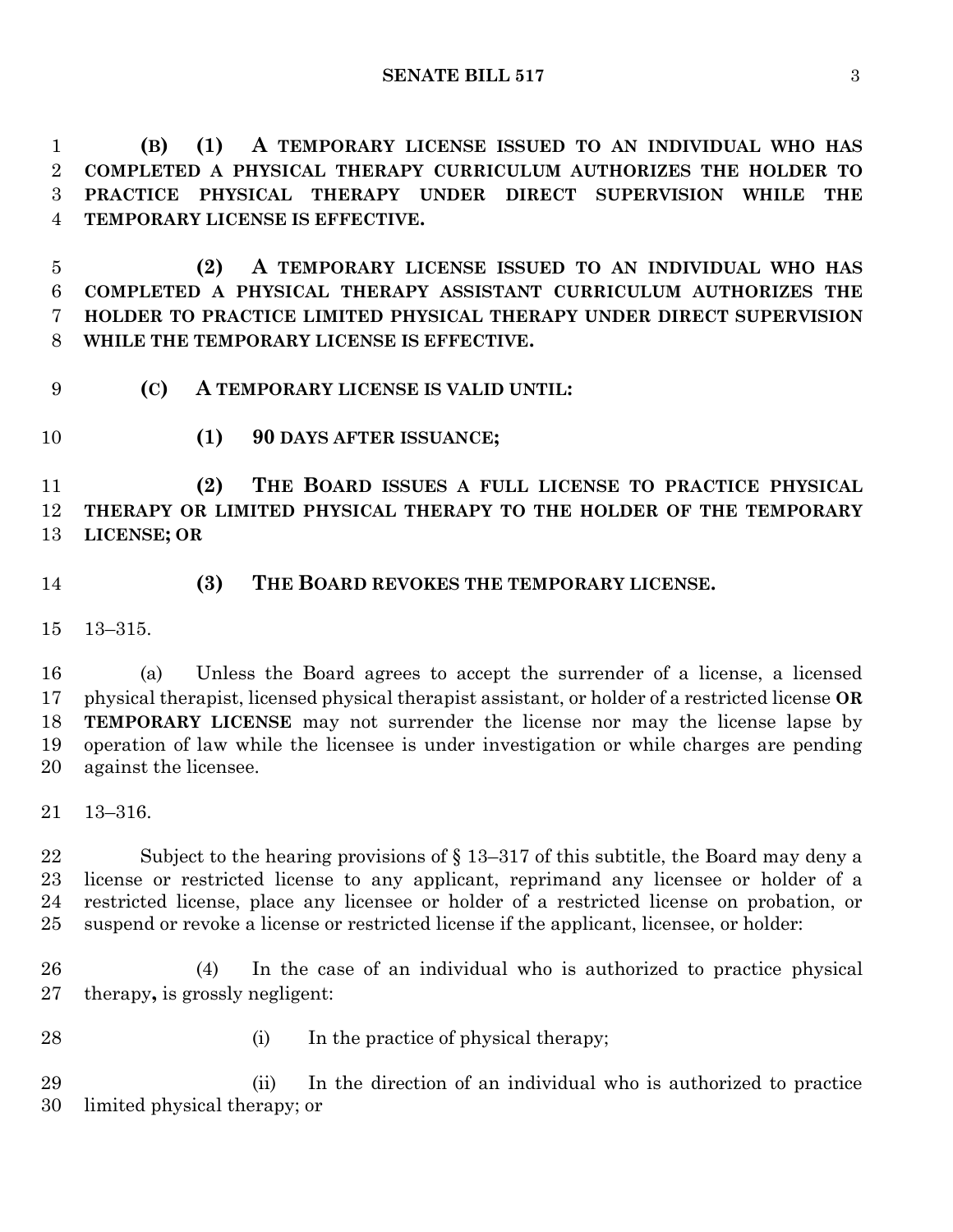**SENATE BILL 517** 3

 **(B) (1) A TEMPORARY LICENSE ISSUED TO AN INDIVIDUAL WHO HAS COMPLETED A PHYSICAL THERAPY CURRICULUM AUTHORIZES THE HOLDER TO PRACTICE PHYSICAL THERAPY UNDER DIRECT SUPERVISION WHILE THE TEMPORARY LICENSE IS EFFECTIVE.**

 **(2) A TEMPORARY LICENSE ISSUED TO AN INDIVIDUAL WHO HAS COMPLETED A PHYSICAL THERAPY ASSISTANT CURRICULUM AUTHORIZES THE HOLDER TO PRACTICE LIMITED PHYSICAL THERAPY UNDER DIRECT SUPERVISION WHILE THE TEMPORARY LICENSE IS EFFECTIVE.**

- **(C) A TEMPORARY LICENSE IS VALID UNTIL:**
- 

**(1) 90 DAYS AFTER ISSUANCE;**

 **(2) THE BOARD ISSUES A FULL LICENSE TO PRACTICE PHYSICAL THERAPY OR LIMITED PHYSICAL THERAPY TO THE HOLDER OF THE TEMPORARY LICENSE; OR**

- 
- **(3) THE BOARD REVOKES THE TEMPORARY LICENSE.**

13–315.

 (a) Unless the Board agrees to accept the surrender of a license, a licensed physical therapist, licensed physical therapist assistant, or holder of a restricted license **OR TEMPORARY LICENSE** may not surrender the license nor may the license lapse by operation of law while the licensee is under investigation or while charges are pending against the licensee.

13–316.

 Subject to the hearing provisions of § 13–317 of this subtitle, the Board may deny a license or restricted license to any applicant, reprimand any licensee or holder of a restricted license, place any licensee or holder of a restricted license on probation, or suspend or revoke a license or restricted license if the applicant, licensee, or holder:

 (4) In the case of an individual who is authorized to practice physical therapy**,** is grossly negligent:

- 
- 28 (i) In the practice of physical therapy;

 (ii) In the direction of an individual who is authorized to practice limited physical therapy; or